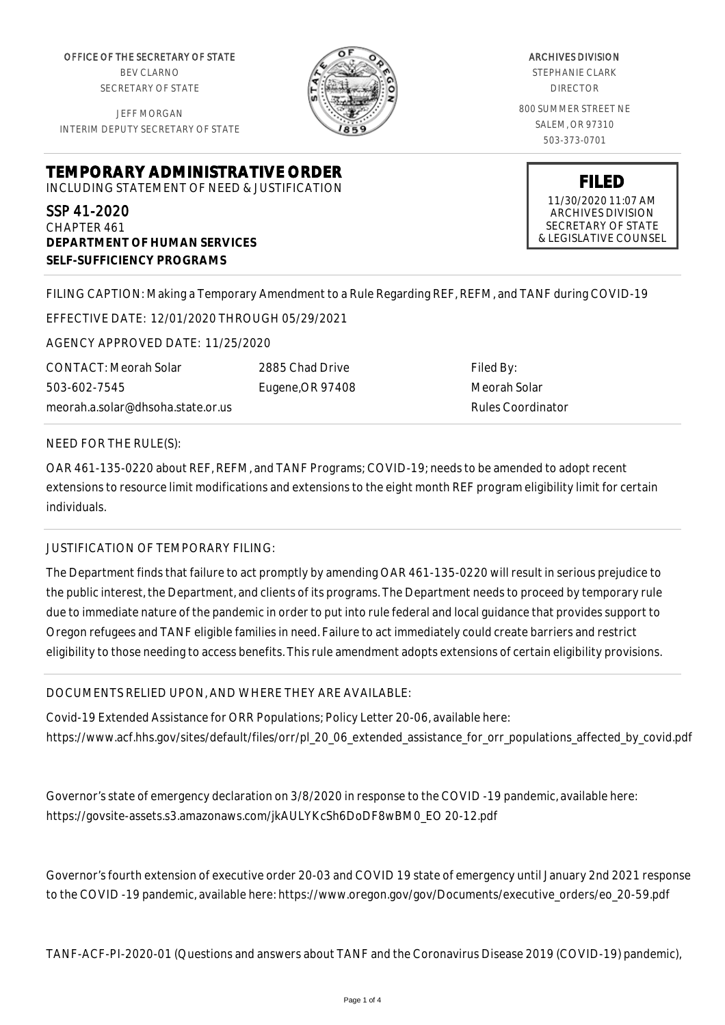OFFICE OF THE SECRETARY OF STATE BEV CLARNO SECRETARY OF STATE

JEFF MORGAN INTERIM DEPUTY SECRETARY OF STATE



ARCHIVES DIVISION STEPHANIE CLARK DIRECTOR 800 SUMMER STREET NE SALEM, OR 97310 503-373-0701

**TEMPORARY ADMINISTRATIVE ORDER**

INCLUDING STATEMENT OF NEED & JUSTIFICATION

SSP 41-2020 CHAPTER 461 **DEPARTMENT OF HUMAN SERVICES SELF-SUFFICIENCY PROGRAMS**

**FILED** 11/30/2020 11:07 AM ARCHIVES DIVISION SECRETARY OF STATE

& LEGISLATIVE COUNSEL

FILING CAPTION: Making a Temporary Amendment to a Rule Regarding REF, REFM, and TANF during COVID-19

EFFECTIVE DATE: 12/01/2020 THROUGH 05/29/2021

AGENCY APPROVED DATE: 11/25/2020

CONTACT: Meorah Solar 503-602-7545 meorah.a.solar@dhsoha.state.or.us 2885 Chad Drive Eugene,OR 97408

Filed By: Meorah Solar Rules Coordinator

## NEED FOR THE RULE(S):

OAR 461-135-0220 about REF, REFM, and TANF Programs; COVID-19; needs to be amended to adopt recent extensions to resource limit modifications and extensions to the eight month REF program eligibility limit for certain individuals.

## JUSTIFICATION OF TEMPORARY FILING:

The Department finds that failure to act promptly by amending OAR 461-135-0220 will result in serious prejudice to the public interest, the Department, and clients of its programs. The Department needs to proceed by temporary rule due to immediate nature of the pandemic in order to put into rule federal and local guidance that provides support to Oregon refugees and TANF eligible families in need. Failure to act immediately could create barriers and restrict eligibility to those needing to access benefits. This rule amendment adopts extensions of certain eligibility provisions.

## DOCUMENTS RELIED UPON, AND WHERE THEY ARE AVAILABLE:

Covid-19 Extended Assistance for ORR Populations; Policy Letter 20-06, available here: https://www.acf.hhs.gov/sites/default/files/orr/pl\_20\_06\_extended\_assistance\_for\_orr\_populations\_affected\_by\_covid.pdf

Governor's state of emergency declaration on 3/8/2020 in response to the COVID -19 pandemic, available here: https://govsite-assets.s3.amazonaws.com/jkAULYKcSh6DoDF8wBM0\_EO 20-12.pdf

Governor's fourth extension of executive order 20-03 and COVID 19 state of emergency until January 2nd 2021 response to the COVID -19 pandemic, available here: https://www.oregon.gov/gov/Documents/executive\_orders/eo\_20-59.pdf

TANF-ACF-PI-2020-01 (Questions and answers about TANF and the Coronavirus Disease 2019 (COVID-19) pandemic),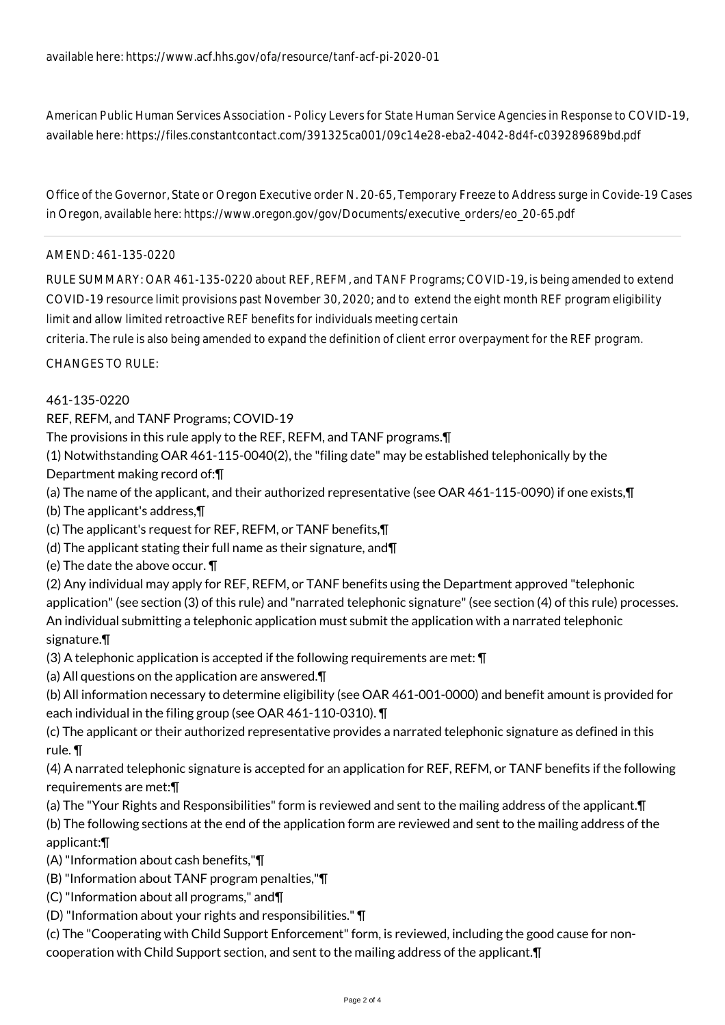American Public Human Services Association - Policy Levers for State Human Service Agencies in Response to COVID-19, available here: https://files.constantcontact.com/391325ca001/09c14e28-eba2-4042-8d4f-c039289689bd.pdf

Office of the Governor, State or Oregon Executive order N. 20-65, Temporary Freeze to Address surge in Covide-19 Cases in Oregon, available here: https://www.oregon.gov/gov/Documents/executive\_orders/eo\_20-65.pdf

## AMEND: 461-135-0220

RULE SUMMARY: OAR 461-135-0220 about REF, REFM, and TANF Programs; COVID-19, is being amended to extend COVID-19 resource limit provisions past November 30, 2020; and to extend the eight month REF program eligibility limit and allow limited retroactive REF benefits for individuals meeting certain

criteria. The rule is also being amended to expand the definition of client error overpayment for the REF program.

CHANGES TO RULE:

461-135-0220

REF, REFM, and TANF Programs; COVID-19

The provisions in this rule apply to the REF, REFM, and TANF programs.¶

(1) Notwithstanding OAR 461-115-0040(2), the "filing date" may be established telephonically by the Department making record of:¶

(a) The name of the applicant, and their authorized representative (see OAR 461-115-0090) if one exists,¶

(b) The applicant's address,¶

(c) The applicant's request for REF, REFM, or TANF benefits,¶

(d) The applicant stating their full name as their signature, and¶

(e) The date the above occur. ¶

(2) Any individual may apply for REF, REFM, or TANF benefits using the Department approved "telephonic application" (see section (3) of this rule) and "narrated telephonic signature" (see section (4) of this rule) processes. An individual submitting a telephonic application must submit the application with a narrated telephonic signature.¶

(3) A telephonic application is accepted if the following requirements are met: ¶

(a) All questions on the application are answered.¶

(b) All information necessary to determine eligibility (see OAR 461-001-0000) and benefit amount is provided for each individual in the filing group (see OAR 461-110-0310). ¶

(c) The applicant or their authorized representative provides a narrated telephonic signature as defined in this rule. ¶

(4) A narrated telephonic signature is accepted for an application for REF, REFM, or TANF benefits if the following requirements are met:¶

(a) The "Your Rights and Responsibilities" form is reviewed and sent to the mailing address of the applicant.¶ (b) The following sections at the end of the application form are reviewed and sent to the mailing address of the applicant:¶

(A) "Information about cash benefits,"¶

(B) "Information about TANF program penalties,"¶

(C) "Information about all programs," and¶

(D) "Information about your rights and responsibilities." ¶

(c) The "Cooperating with Child Support Enforcement" form, is reviewed, including the good cause for noncooperation with Child Support section, and sent to the mailing address of the applicant.¶